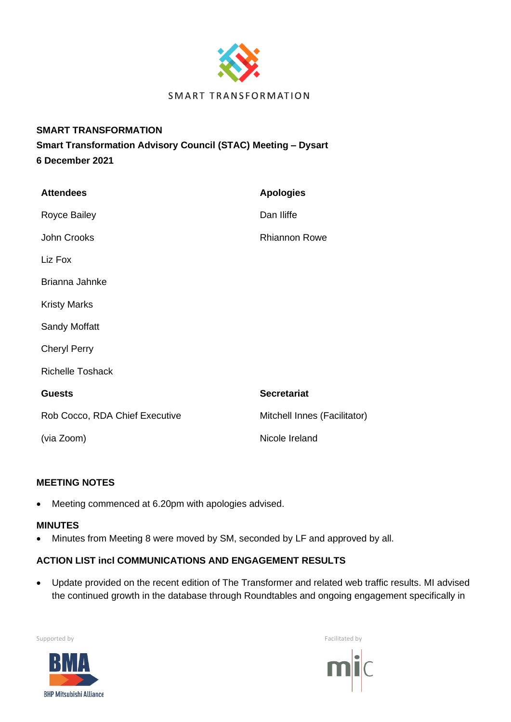

## **SMART TRANSFORMATION**

**Smart Transformation Advisory Council (STAC) Meeting – Dysart 6 December 2021**

| <b>Attendees</b>               | <b>Apologies</b>             |
|--------------------------------|------------------------------|
| <b>Royce Bailey</b>            | Dan Iliffe                   |
| John Crooks                    | <b>Rhiannon Rowe</b>         |
| Liz Fox                        |                              |
| Brianna Jahnke                 |                              |
| <b>Kristy Marks</b>            |                              |
| <b>Sandy Moffatt</b>           |                              |
| <b>Cheryl Perry</b>            |                              |
| <b>Richelle Toshack</b>        |                              |
| <b>Guests</b>                  | <b>Secretariat</b>           |
| Rob Cocco, RDA Chief Executive | Mitchell Innes (Facilitator) |
| (via Zoom)                     | Nicole Ireland               |

# **MEETING NOTES**

• Meeting commenced at 6.20pm with apologies advised.

### **MINUTES**

• Minutes from Meeting 8 were moved by SM, seconded by LF and approved by all.

# **ACTION LIST incl COMMUNICATIONS AND ENGAGEMENT RESULTS**

• Update provided on the recent edition of The Transformer and related web traffic results. MI advised the continued growth in the database through Roundtables and ongoing engagement specifically in



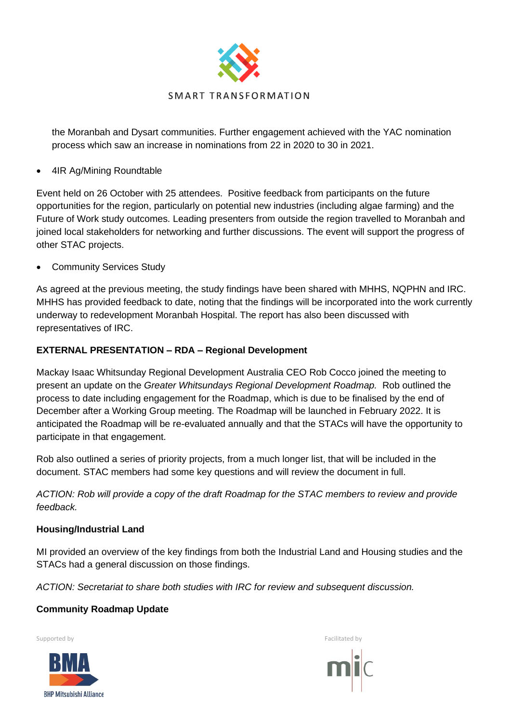

the Moranbah and Dysart communities. Further engagement achieved with the YAC nomination process which saw an increase in nominations from 22 in 2020 to 30 in 2021.

• 4IR Ag/Mining Roundtable

Event held on 26 October with 25 attendees. Positive feedback from participants on the future opportunities for the region, particularly on potential new industries (including algae farming) and the Future of Work study outcomes. Leading presenters from outside the region travelled to Moranbah and joined local stakeholders for networking and further discussions. The event will support the progress of other STAC projects.

Community Services Study

As agreed at the previous meeting, the study findings have been shared with MHHS, NQPHN and IRC. MHHS has provided feedback to date, noting that the findings will be incorporated into the work currently underway to redevelopment Moranbah Hospital. The report has also been discussed with representatives of IRC.

## **EXTERNAL PRESENTATION – RDA – Regional Development**

Mackay Isaac Whitsunday Regional Development Australia CEO Rob Cocco joined the meeting to present an update on the *Greater Whitsundays Regional Development Roadmap.* Rob outlined the process to date including engagement for the Roadmap, which is due to be finalised by the end of December after a Working Group meeting. The Roadmap will be launched in February 2022. It is anticipated the Roadmap will be re-evaluated annually and that the STACs will have the opportunity to participate in that engagement.

Rob also outlined a series of priority projects, from a much longer list, that will be included in the document. STAC members had some key questions and will review the document in full.

*ACTION: Rob will provide a copy of the draft Roadmap for the STAC members to review and provide feedback.*

### **Housing/Industrial Land**

MI provided an overview of the key findings from both the Industrial Land and Housing studies and the STACs had a general discussion on those findings.

*ACTION: Secretariat to share both studies with IRC for review and subsequent discussion.*

# **Community Roadmap Update**